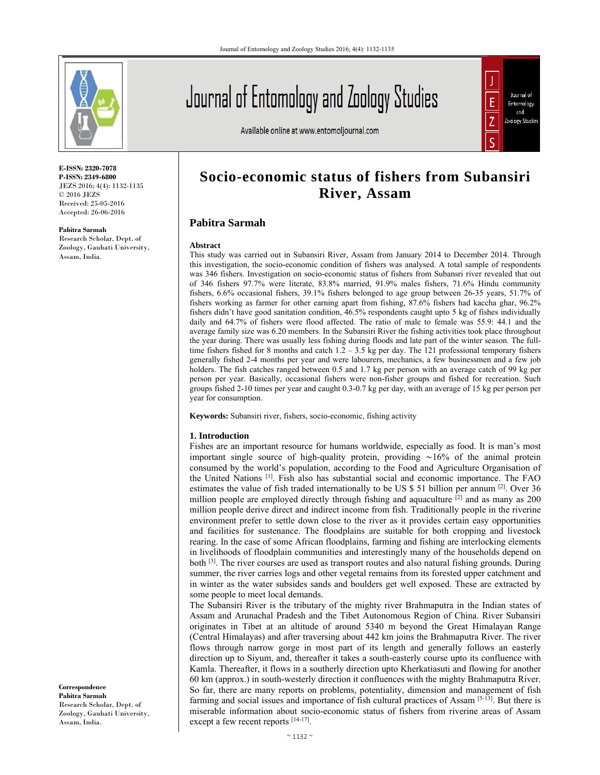

**E-ISSN: 2320-7078 P-ISSN: 2349-6800** JEZS 2016; 4(4): 1132-1135 © 2016 JEZS Received: 25-05-2016 Accepted: 26-06-2016

**Pabitra Sarmah** 

Research Scholar, Dept. of Zoology, Gauhati University, Assam, India.

Journal of Entomology and Zoology Studies

Available online at www.entomoljournal.com



# **Socio-economic status of fishers from Subansiri River, Assam**

# **Pabitra Sarmah**

#### **Abstract**

This study was carried out in Subansiri River, Assam from January 2014 to December 2014. Through this investigation, the socio-economic condition of fishers was analysed. A total sample of respondents was 346 fishers. Investigation on socio-economic status of fishers from Subansri river revealed that out of 346 fishers 97.7% were literate, 83.8% married, 91.9% males fishers, 71.6% Hindu community fishers, 6.6% occasional fishers, 39.1% fishers belonged to age group between 26-35 years, 51.7% of fishers working as farmer for other earning apart from fishing, 87.6% fishers had kaccha ghar, 96.2% fishers didn't have good sanitation condition, 46.5% respondents caught upto 5 kg of fishes individually daily and 64.7% of fishers were flood affected. The ratio of male to female was 55.9: 44.1 and the average family size was 6.20 members. In the Subansiri River the fishing activities took place throughout the year during. There was usually less fishing during floods and late part of the winter season. The fulltime fishers fished for 8 months and catch  $1.2 - 3.5$  kg per day. The 121 professional temporary fishers generally fished 2-4 months per year and were labourers, mechanics, a few businessmen and a few job holders. The fish catches ranged between 0.5 and 1.7 kg per person with an average catch of 99 kg per person per year. Basically, occasional fishers were non-fisher groups and fished for recreation. Such groups fished 2-10 times per year and caught 0.3-0.7 kg per day, with an average of 15 kg per person per year for consumption.

**Keywords:** Subansiri river, fishers, socio-economic, fishing activity

## **1. Introduction**

Fishes are an important resource for humans worldwide, especially as food. It is man's most important single source of high-quality protein, providing ∼16% of the animal protein consumed by the world's population, according to the Food and Agriculture Organisation of the United Nations [1]. Fish also has substantial social and economic importance. The FAO estimates the value of fish traded internationally to be US  $\frac{1}{5}$  51 billion per annum [2]. Over 36 million people are employed directly through fishing and aquaculture  $^{[2]}$  and as many as 200 million people derive direct and indirect income from fish. Traditionally people in the riverine environment prefer to settle down close to the river as it provides certain easy opportunities and facilities for sustenance. The floodplains are suitable for both cropping and livestock rearing. In the case of some African floodplains, farming and fishing are interlocking elements in livelihoods of floodplain communities and interestingly many of the households depend on both [3]. The river courses are used as transport routes and also natural fishing grounds. During summer, the river carries logs and other vegetal remains from its forested upper catchment and in winter as the water subsides sands and boulders get well exposed. These are extracted by some people to meet local demands.

The Subansiri River is the tributary of the mighty river Brahmaputra in the Indian states of Assam and Arunachal Pradesh and the Tibet Autonomous Region of China. River Subansiri originates in Tibet at an altitude of around 5340 m beyond the Great Himalayan Range (Central Himalayas) and after traversing about 442 km joins the Brahmaputra River. The river flows through narrow gorge in most part of its length and generally follows an easterly direction up to Siyum, and, thereafter it takes a south-easterly course upto its confluence with Kamla. Thereafter, it flows in a southerly direction upto Kherkatiasuti and flowing for another 60 km (approx.) in south-westerly direction it confluences with the mighty Brahmaputra River. So far, there are many reports on problems, potentiality, dimension and management of fish farming and social issues and importance of fish cultural practices of Assam [5-13]. But there is miserable information about socio-economic status of fishers from riverine areas of Assam except a few recent reports [14-17].

**Correspondence Pabitra Sarmah**  Research Scholar, Dept. of Zoology, Gauhati University, Assam, India.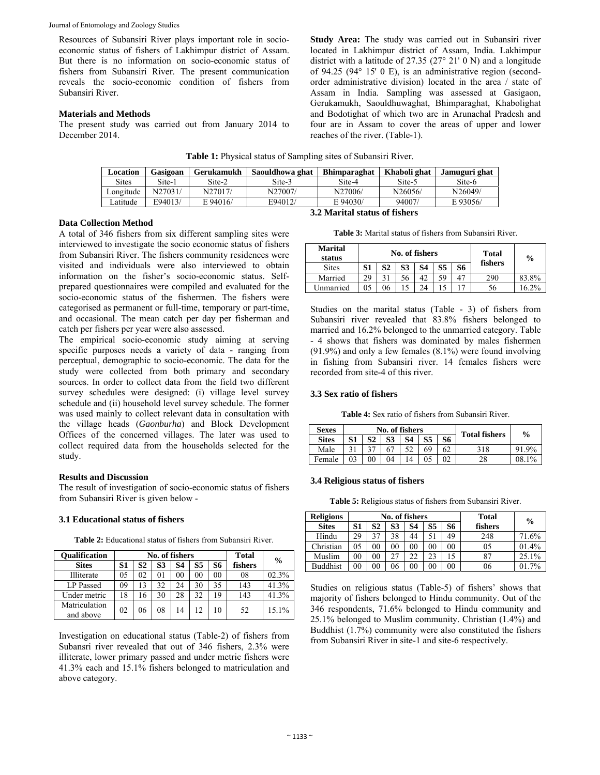Journal of Entomology and Zoology Studies

Resources of Subansiri River plays important role in socioeconomic status of fishers of Lakhimpur district of Assam. But there is no information on socio-economic status of fishers from Subansiri River. The present communication reveals the socio-economic condition of fishers from Subansiri River.

# **Materials and Methods**

The present study was carried out from January 2014 to December 2014.

**Study Area:** The study was carried out in Subansiri river located in Lakhimpur district of Assam, India. Lakhimpur district with a latitude of 27.35 (27° 21' 0 N) and a longitude of 94.25 (94° 15' 0 E), is an administrative region (secondorder administrative division) located in the area / state of Assam in India. Sampling was assessed at Gasigaon, Gerukamukh, Saouldhuwaghat, Bhimparaghat, Khabolighat and Bodotighat of which two are in Arunachal Pradesh and four are in Assam to cover the areas of upper and lower reaches of the river. (Table-1).

| Table 1: Physical status of Sampling sites of Subansiri River. |  |
|----------------------------------------------------------------|--|
|----------------------------------------------------------------|--|

| Location     | Gasigoan                      | Gerukamukh | Saouldhowa ghat | <b>Bhimparaghat</b> | Khaboli ghat | Jamuguri ghat |  |  |  |
|--------------|-------------------------------|------------|-----------------|---------------------|--------------|---------------|--|--|--|
| <b>Sites</b> | Site-1                        | Site-2     | Site-3          | Site-4              | Site-5       | Site-6        |  |  |  |
| Longitude    | N27031/                       | N27017/    | N27007/         | N27006/             | N26056/      | N26049/       |  |  |  |
| Latitude     | E94013/                       | $E$ 94016/ | E94012/         | E 94030/            | 94007/       | E 93056/      |  |  |  |
|              | 3.2 Marital status of fishers |            |                 |                     |              |               |  |  |  |

# **Data Collection Method**

A total of 346 fishers from six different sampling sites were interviewed to investigate the socio economic status of fishers from Subansiri River. The fishers community residences were visited and individuals were also interviewed to obtain information on the fisher's socio-economic status. Selfprepared questionnaires were compiled and evaluated for the socio-economic status of the fishermen. The fishers were categorised as permanent or full-time, temporary or part-time, and occasional. The mean catch per day per fisherman and catch per fishers per year were also assessed.

The empirical socio-economic study aiming at serving specific purposes needs a variety of data - ranging from perceptual, demographic to socio-economic. The data for the study were collected from both primary and secondary sources. In order to collect data from the field two different survey schedules were designed: (i) village level survey schedule and (ii) household level survey schedule. The former was used mainly to collect relevant data in consultation with the village heads (*Gaonburha*) and Block Development Offices of the concerned villages. The later was used to collect required data from the households selected for the study.

# **Results and Discussion**

The result of investigation of socio-economic status of fishers from Subansiri River is given below -

# **3.1 Educational status of fishers**

**Table 2:** Educational status of fishers from Subansiri River.

| <b>Oualification</b>       |    |    | No. of fishers | <b>Total</b> | $\frac{0}{0}$ |    |         |       |
|----------------------------|----|----|----------------|--------------|---------------|----|---------|-------|
| <b>Sites</b>               | S1 | S2 | S3             | S4           | S5            | S6 | fishers |       |
| Illiterate                 | 05 | 02 | 01             | 00           | 00            | 00 | 08      | 02.3% |
| LP Passed                  | 09 | 13 | 32             | 24           | 30            | 35 | 143     | 41.3% |
| Under metric               | 18 | 16 | 30             | 28           | 32            | 19 | 143     | 41.3% |
| Matriculation<br>and above | 02 | 06 | 08             | 14           |               | 10 | 52      | 15.1% |

Investigation on educational status (Table-2) of fishers from Subansri river revealed that out of 346 fishers, 2.3% were illiterate, lower primary passed and under metric fishers were 41.3% each and 15.1% fishers belonged to matriculation and above category.

| <b>Table 3:</b> Marital status of fishers from Subansiri River. |  |  |  |  |  |  |
|-----------------------------------------------------------------|--|--|--|--|--|--|
|-----------------------------------------------------------------|--|--|--|--|--|--|

| <b>Marital</b><br>status |    |    | No. of fishers | Total<br>fishers | $\frac{0}{0}$ |    |     |         |
|--------------------------|----|----|----------------|------------------|---------------|----|-----|---------|
| <b>Sites</b>             | வ  | S2 | S3             | S4               | S5            | S6 |     |         |
| Married                  | 29 | 21 |                | 42               | 59            | 47 | 290 | 83.8%   |
| Unmarried                | 05 |    |                |                  |               |    | 56  | $6.2\%$ |

Studies on the marital status (Table - 3) of fishers from Subansiri river revealed that 83.8% fishers belonged to married and 16.2% belonged to the unmarried category. Table - 4 shows that fishers was dominated by males fishermen (91.9%) and only a few females (8.1%) were found involving in fishing from Subansiri river. 14 females fishers were recorded from site-4 of this river.

## **3.3 Sex ratio of fishers**

**Table 4:** Sex ratio of fishers from Subansiri River.

| <b>Sexes</b> |    |    |    | No. of fishers  |                |    | <b>Total fishers</b> | $\%$     |
|--------------|----|----|----|-----------------|----------------|----|----------------------|----------|
| <b>Sites</b> | S1 | S2 | S3 | S4              | S <sub>5</sub> | S6 |                      |          |
| Male         |    |    |    | 50              | 69             | 62 | 318                  | 91.9%    |
| Female       | 03 | 00 | 04 | $\overline{14}$ | 05             | 02 | 28                   | $08.1\%$ |

## **3.4 Religious status of fishers**

**Table 5:** Religious status of fishers from Subansiri River.

| <b>Religions</b> |        |        |    | No. of fishers | Total    | $\frac{0}{0}$ |         |       |
|------------------|--------|--------|----|----------------|----------|---------------|---------|-------|
| <b>Sites</b>     | S1     | S2     | S3 | S4             | S5       | S6            | fishers |       |
| Hindu            | 29     | 37     | 38 | 44             |          | 49            | 248     | 71.6% |
| Christian        | 05     | $00\,$ | 00 | 00             | 00       | 00            | 05      | 01.4% |
| Muslim           | $00\,$ | 00     |    | 22             | 23       |               | 87      | 25.1% |
| <b>Buddhist</b>  | $00\,$ | $00\,$ | 06 | 00             | $\rm 00$ | 00            | 06      | 01.7% |

Studies on religious status (Table-5) of fishers' shows that majority of fishers belonged to Hindu community. Out of the 346 respondents, 71.6% belonged to Hindu community and 25.1% belonged to Muslim community. Christian (1.4%) and Buddhist (1.7%) community were also constituted the fishers from Subansiri River in site-1 and site-6 respectively.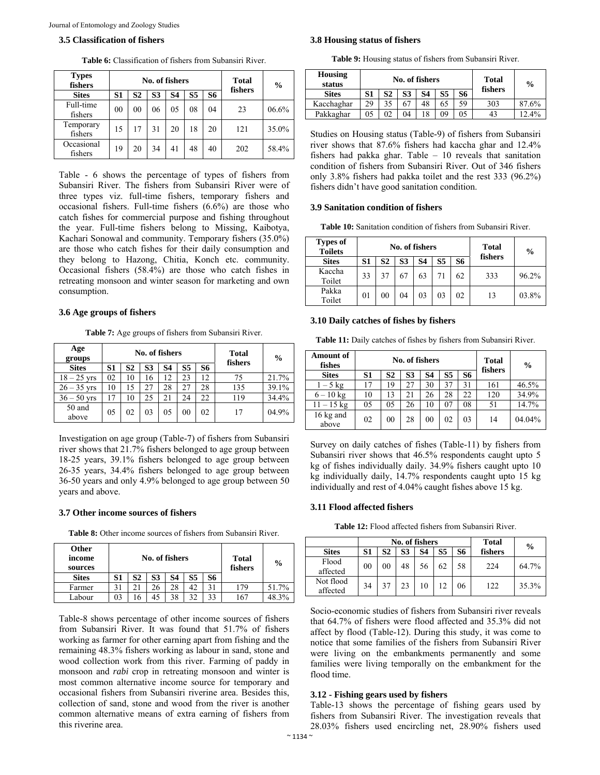#### **3.5 Classification of fishers**

| <b>Types</b><br>fishers | No. of fishers |                |    |    |                |           |         |       |  |  |  |  |  |  |
|-------------------------|----------------|----------------|----|----|----------------|-----------|---------|-------|--|--|--|--|--|--|
| <b>Sites</b>            | S1             | S2             | S3 | S4 | S <sub>5</sub> | <b>S6</b> | fishers |       |  |  |  |  |  |  |
| Full-time<br>fishers    | 00             | 0 <sub>0</sub> | 06 | 05 | 08             | 04        | 23      | 06.6% |  |  |  |  |  |  |
| Temporary<br>fishers    | 15             | 17             | 31 | 20 | 18             | 20        | 121     | 35.0% |  |  |  |  |  |  |
| Occasional<br>fishers   | 19             | 20             | 34 | 41 | 48             | 40        | 202     | 58.4% |  |  |  |  |  |  |

**Table 6:** Classification of fishers from Subansiri River.

Table - 6 shows the percentage of types of fishers from Subansiri River. The fishers from Subansiri River were of three types viz. full-time fishers, temporary fishers and occasional fishers. Full-time fishers (6.6%) are those who catch fishes for commercial purpose and fishing throughout the year. Full-time fishers belong to Missing, Kaibotya, Kachari Sonowal and community. Temporary fishers (35.0%) are those who catch fishes for their daily consumption and they belong to Hazong, Chitia, Konch etc. community. Occasional fishers (58.4%) are those who catch fishes in retreating monsoon and winter season for marketing and own consumption.

## **3.6 Age groups of fishers**

**Table 7:** Age groups of fishers from Subansiri River.

| Age<br>groups   |    |                | No. of fishers |    | Total<br>fishers | $\frac{0}{0}$ |     |       |
|-----------------|----|----------------|----------------|----|------------------|---------------|-----|-------|
| <b>Sites</b>    | S1 | S <sub>2</sub> | S <sub>3</sub> | S4 | S <sub>5</sub>   | S6            |     |       |
| $18 - 25$ yrs   | 02 | 10             | 16             | 12 | 23               | 12            | 75  | 21.7% |
| $26 - 35$ yrs   | 10 | 15             |                | 28 | 27               | 28            | 135 | 39.1% |
| $36 - 50$ yrs   | 17 | 10             | 25             | 21 | 24               | 22            | 119 | 34.4% |
| 50 and<br>above | 05 | 02             | 03             | 05 | 0 <sub>0</sub>   | 02            | 17  | 04.9% |

Investigation on age group (Table-7) of fishers from Subansiri river shows that 21.7% fishers belonged to age group between 18-25 years, 39.1% fishers belonged to age group between 26-35 years, 34.4% fishers belonged to age group between 36-50 years and only 4.9% belonged to age group between 50 years and above.

## **3.7 Other income sources of fishers**

**Table 8:** Other income sources of fishers from Subansiri River.

| Other<br>income<br>sources |    |    | No. of fishers | Total<br>fishers | $\frac{0}{0}$ |    |     |       |
|----------------------------|----|----|----------------|------------------|---------------|----|-----|-------|
| <b>Sites</b>               | S1 | S2 | S3             | S4               | S5            | S6 |     |       |
| Farmer                     | c. |    | 26             | 28               |               | 31 | 179 | 51.7% |
| Labour                     | 03 | 6  |                | 38               |               | 33 | 167 | 8.3%  |

Table-8 shows percentage of other income sources of fishers from Subansiri River. It was found that 51.7% of fishers working as farmer for other earning apart from fishing and the remaining 48.3% fishers working as labour in sand, stone and wood collection work from this river. Farming of paddy in monsoon and *rabi* crop in retreating monsoon and winter is most common alternative income source for temporary and occasional fishers from Subansiri riverine area. Besides this, collection of sand, stone and wood from the river is another common alternative means of extra earning of fishers from this riverine area.

#### **3.8 Housing status of fishers**

**Table 9:** Housing status of fishers from Subansiri River.

| Housing<br>status |    |    | No. of fishers | Total<br>fishers | $\frac{6}{9}$ |    |     |       |
|-------------------|----|----|----------------|------------------|---------------|----|-----|-------|
| <b>Sites</b>      | S1 | S2 | S3             | S4               | S5            | S6 |     |       |
| Kacchaghar        | 29 | 35 |                | 48               | 65            | 59 | 303 | 87.6% |
| Pakkaghar         | 05 | 02 | 04             |                  | 09            | 05 | 43  | 12.4% |

Studies on Housing status (Table-9) of fishers from Subansiri river shows that 87.6% fishers had kaccha ghar and 12.4% fishers had pakka ghar. Table – 10 reveals that sanitation condition of fishers from Subansiri River. Out of 346 fishers only 3.8% fishers had pakka toilet and the rest 333 (96.2%) fishers didn't have good sanitation condition.

#### **3.9 Sanitation condition of fishers**

**Table 10:** Sanitation condition of fishers from Subansiri River.

| <b>Types of</b><br><b>Toilets</b> |    |                | No. of fishers | <b>Total</b> | $\frac{6}{9}$ |    |         |       |
|-----------------------------------|----|----------------|----------------|--------------|---------------|----|---------|-------|
| <b>Sites</b>                      | S1 | S <sub>2</sub> | S3             | S4           | S5            | S6 | fishers |       |
| Kaccha<br>Toilet                  | 33 | 37             | 67             | 63           |               | 62 | 333     | 96.2% |
| Pakka<br>Toilet                   | 01 | 00             | 04             | 03           | 03            | 02 | 13      | 03.8% |

#### **3.10 Daily catches of fishes by fishers**

**Table 11:** Daily catches of fishes by fishers from Subansiri River.

| <b>Amount of</b><br>fishes |    |                | No. of fishers | <b>Total</b><br>fishers | $\frac{6}{9}$ |    |     |        |
|----------------------------|----|----------------|----------------|-------------------------|---------------|----|-----|--------|
| <b>Sites</b>               | S1 | S <sub>2</sub> | S <sub>3</sub> | S4                      | S5            | S6 |     |        |
| $1-5$ kg                   |    | 19             | 27             | 30                      | 37            | 31 | 161 | 46.5%  |
| $6 - 10$ kg                | 10 | 13             | 21             | 26                      | 28            | 22 | 120 | 34.9%  |
| $11 - 15$ kg               | 05 | 05             | 26             | 10                      | 07            | 08 | 51  | 14.7%  |
| 16 kg and<br>above         | 02 | 0 <sub>0</sub> | 28             | 0 <sub>0</sub>          | 02            | 03 | 14  | 04.04% |

Survey on daily catches of fishes (Table-11) by fishers from Subansiri river shows that 46.5% respondents caught upto 5 kg of fishes individually daily. 34.9% fishers caught upto 10 kg individually daily, 14.7% respondents caught upto 15 kg individually and rest of 4.04% caught fishes above 15 kg.

#### **3.11 Flood affected fishers**

**Table 12:** Flood affected fishers from Subansiri River.

|                       |                |    | No. of fishers | <b>Total</b> | $\frac{0}{0}$ |    |         |       |
|-----------------------|----------------|----|----------------|--------------|---------------|----|---------|-------|
| <b>Sites</b>          | S1             | S2 | S3             | S4           | S5            | S6 | fishers |       |
| Flood<br>affected     | 0 <sup>0</sup> | 00 | 48             | 56           | 62            | 58 | 224     | 64.7% |
| Not flood<br>affected | 34             |    | 23             |              |               | 06 | 122.    | 35.3% |

Socio-economic studies of fishers from Subansiri river reveals that 64.7% of fishers were flood affected and 35.3% did not affect by flood (Table-12). During this study, it was come to notice that some families of the fishers from Subansiri River were living on the embankments permanently and some families were living temporally on the embankment for the flood time.

## **3.12 - Fishing gears used by fishers**

Table-13 shows the percentage of fishing gears used by fishers from Subansiri River. The investigation reveals that 28.03% fishers used encircling net, 28.90% fishers used